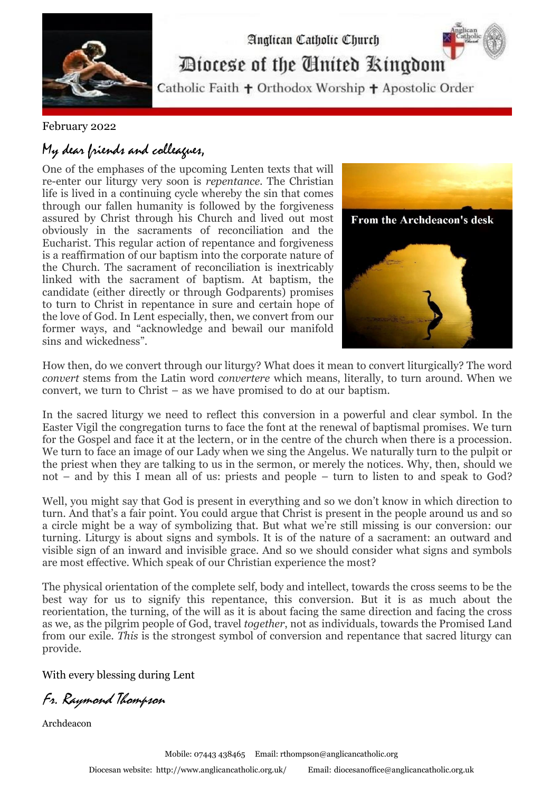

February 2022

## My dear friends and colleagues,

One of the emphases of the upcoming Lenten texts that will re-enter our liturgy very soon is *repentance*. The Christian life is lived in a continuing cycle whereby the sin that comes through our fallen humanity is followed by the forgiveness assured by Christ through his Church and lived out most obviously in the sacraments of reconciliation and the Eucharist. This regular action of repentance and forgiveness is a reaffirmation of our baptism into the corporate nature of the Church. The sacrament of reconciliation is inextricably linked with the sacrament of baptism. At baptism, the candidate (either directly or through Godparents) promises to turn to Christ in repentance in sure and certain hope of the love of God. In Lent especially, then, we convert from our former ways, and "acknowledge and bewail our manifold sins and wickedness".



How then, do we convert through our liturgy? What does it mean to convert liturgically? The word *convert* stems from the Latin word *convertere* which means, literally, to turn around. When we convert, we turn to Christ – as we have promised to do at our baptism. .

In the sacred liturgy we need to reflect this conversion in a powerful and clear symbol. In the Easter Vigil the congregation turns to face the font at the renewal of baptismal promises. We turn for the Gospel and face it at the lectern, or in the centre of the church when there is a procession. We turn to face an image of our Lady when we sing the Angelus. We naturally turn to the pulpit or the priest when they are talking to us in the sermon, or merely the notices. Why, then, should we not – and by this I mean all of us: priests and people – turn to listen to and speak to God?

Well, you might say that God is present in everything and so we don't know in which direction to turn. And that's a fair point. You could argue that Christ is present in the people around us and so a circle might be a way of symbolizing that. But what we're still missing is our conversion: our turning. Liturgy is about signs and symbols. It is of the nature of a sacrament: an outward and visible sign of an inward and invisible grace. And so we should consider what signs and symbols are most effective. Which speak of our Christian experience the most?

The physical orientation of the complete self, body and intellect, towards the cross seems to be the best way for us to signify this repentance, this conversion. But it is as much about the reorientation, the turning, of the will as it is about facing the same direction and facing the cross as we, as the pilgrim people of God, travel *together*, not as individuals, towards the Promised Land from our exile. *This* is the strongest symbol of conversion and repentance that sacred liturgy can provide.

With every blessing during Lent

Fr. Raymond Thompson

Archdeacon